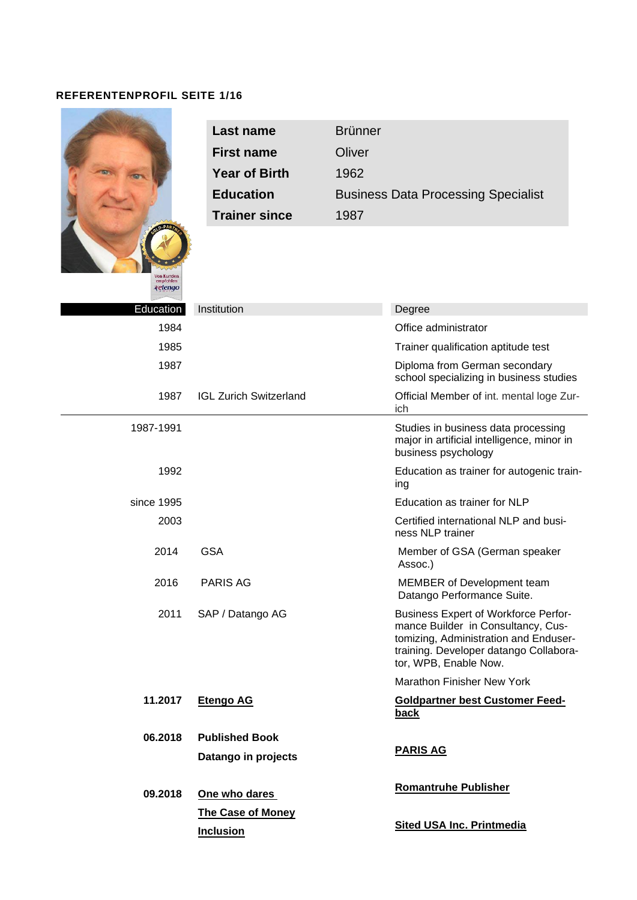# **REFERENTENPROFIL SEITE 1/16**

|                                    | <b>Last name</b>                             | <b>Brünner</b> |                                                                                                                                                                                               |
|------------------------------------|----------------------------------------------|----------------|-----------------------------------------------------------------------------------------------------------------------------------------------------------------------------------------------|
|                                    | <b>First name</b>                            | Oliver         |                                                                                                                                                                                               |
|                                    | <b>Year of Birth</b>                         | 1962           |                                                                                                                                                                                               |
|                                    | <b>Education</b>                             |                | <b>Business Data Processing Specialist</b>                                                                                                                                                    |
|                                    | <b>Trainer since</b>                         | 1987           |                                                                                                                                                                                               |
| Von Kunden<br>empfohlen<br>∢etengo |                                              |                |                                                                                                                                                                                               |
| Education                          | Institution                                  |                | Degree                                                                                                                                                                                        |
| 1984                               |                                              |                | Office administrator                                                                                                                                                                          |
| 1985                               |                                              |                | Trainer qualification aptitude test                                                                                                                                                           |
| 1987                               |                                              |                | Diploma from German secondary<br>school specializing in business studies                                                                                                                      |
| 1987                               | <b>IGL Zurich Switzerland</b>                |                | Official Member of int. mental loge Zur-<br>ich                                                                                                                                               |
| 1987-1991                          |                                              |                | Studies in business data processing<br>major in artificial intelligence, minor in<br>business psychology                                                                                      |
| 1992                               |                                              |                | Education as trainer for autogenic train-<br>ing                                                                                                                                              |
| since 1995                         |                                              |                | Education as trainer for NLP                                                                                                                                                                  |
| 2003                               |                                              |                | Certified international NLP and busi-<br>ness NLP trainer                                                                                                                                     |
| 2014                               | <b>GSA</b>                                   |                | Member of GSA (German speaker<br>Assoc.)                                                                                                                                                      |
| 2016                               | <b>PARIS AG</b>                              |                | MEMBER of Development team<br>Datango Performance Suite.                                                                                                                                      |
| 2011                               | SAP / Datango AG                             |                | <b>Business Expert of Workforce Perfor-</b><br>mance Builder in Consultancy, Cus-<br>tomizing, Administration and Enduser-<br>training. Developer datango Collabora-<br>tor, WPB, Enable Now. |
|                                    |                                              |                | Marathon Finisher New York                                                                                                                                                                    |
| 11.2017                            | <b>Etengo AG</b>                             |                | <b>Goldpartner best Customer Feed-</b><br><b>back</b>                                                                                                                                         |
| 06.2018                            | <b>Published Book</b><br>Datango in projects |                | <b>PARIS AG</b>                                                                                                                                                                               |
| 09.2018                            | One who dares                                |                | <b>Romantruhe Publisher</b>                                                                                                                                                                   |
|                                    | <b>The Case of Money</b><br><b>Inclusion</b> |                | <b>Sited USA Inc. Printmedia</b>                                                                                                                                                              |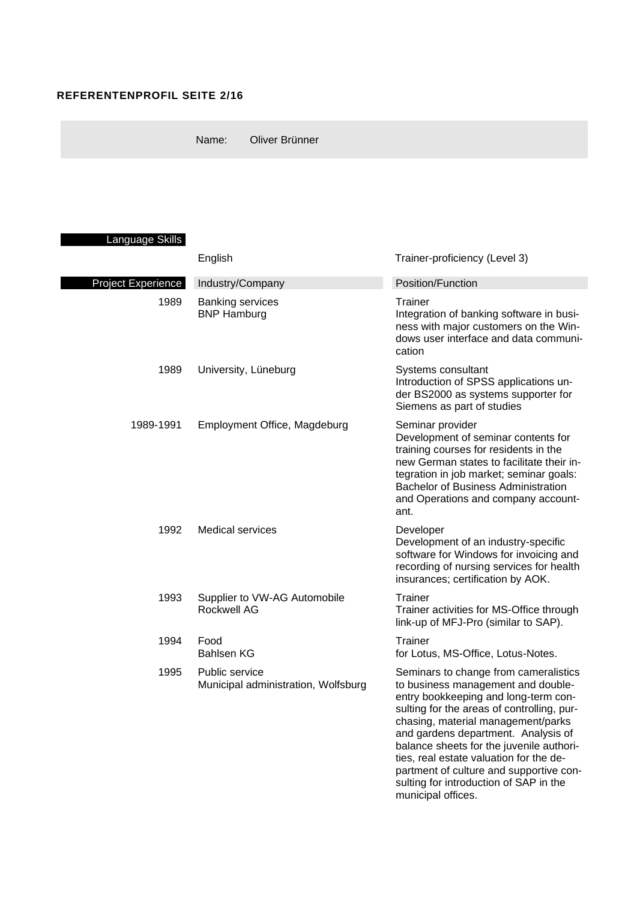## **REFERENTENPROFIL SEITE 2/16**

Name: Oliver Brünner

# Language Skills

|                    | English                                               | Trainer-proficiency (Level 3)                                                                                                                                                                                                                                                                                                                                                                                                                    |  |  |
|--------------------|-------------------------------------------------------|--------------------------------------------------------------------------------------------------------------------------------------------------------------------------------------------------------------------------------------------------------------------------------------------------------------------------------------------------------------------------------------------------------------------------------------------------|--|--|
| Project Experience | Industry/Company                                      | Position/Function                                                                                                                                                                                                                                                                                                                                                                                                                                |  |  |
| 1989               | <b>Banking services</b><br><b>BNP Hamburg</b>         | <b>Trainer</b><br>Integration of banking software in busi-<br>ness with major customers on the Win-<br>dows user interface and data communi-<br>cation                                                                                                                                                                                                                                                                                           |  |  |
| 1989               | University, Lüneburg                                  | Systems consultant<br>Introduction of SPSS applications un-<br>der BS2000 as systems supporter for<br>Siemens as part of studies                                                                                                                                                                                                                                                                                                                 |  |  |
| 1989-1991          | Employment Office, Magdeburg                          | Seminar provider<br>Development of seminar contents for<br>training courses for residents in the<br>new German states to facilitate their in-<br>tegration in job market; seminar goals:<br><b>Bachelor of Business Administration</b><br>and Operations and company account-<br>ant.                                                                                                                                                            |  |  |
| 1992               | Medical services                                      | Developer<br>Development of an industry-specific<br>software for Windows for invoicing and<br>recording of nursing services for health<br>insurances; certification by AOK.                                                                                                                                                                                                                                                                      |  |  |
| 1993               | Supplier to VW-AG Automobile<br><b>Rockwell AG</b>    | Trainer<br>Trainer activities for MS-Office through<br>link-up of MFJ-Pro (similar to SAP).                                                                                                                                                                                                                                                                                                                                                      |  |  |
| 1994               | Food<br><b>Bahlsen KG</b>                             | Trainer<br>for Lotus, MS-Office, Lotus-Notes.                                                                                                                                                                                                                                                                                                                                                                                                    |  |  |
| 1995               | Public service<br>Municipal administration, Wolfsburg | Seminars to change from cameralistics<br>to business management and double-<br>entry bookkeeping and long-term con-<br>sulting for the areas of controlling, pur-<br>chasing, material management/parks<br>and gardens department. Analysis of<br>balance sheets for the juvenile authori-<br>ties, real estate valuation for the de-<br>partment of culture and supportive con-<br>sulting for introduction of SAP in the<br>municipal offices. |  |  |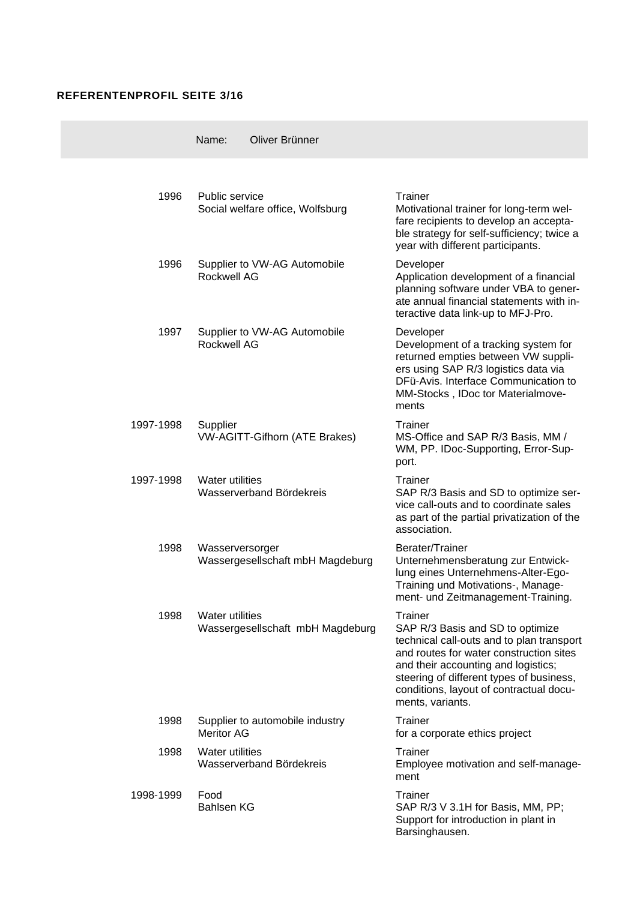## **REFERENTENPROFIL SEITE 3/16**

 $\sim$ 

|           | Oliver Brünner<br>Name:                                    |                                                                                                                                                                                                                                                                                              |
|-----------|------------------------------------------------------------|----------------------------------------------------------------------------------------------------------------------------------------------------------------------------------------------------------------------------------------------------------------------------------------------|
|           |                                                            |                                                                                                                                                                                                                                                                                              |
| 1996      | Public service<br>Social welfare office, Wolfsburg         | Trainer<br>Motivational trainer for long-term wel-<br>fare recipients to develop an accepta-<br>ble strategy for self-sufficiency; twice a<br>year with different participants.                                                                                                              |
| 1996      | Supplier to VW-AG Automobile<br><b>Rockwell AG</b>         | Developer<br>Application development of a financial<br>planning software under VBA to gener-<br>ate annual financial statements with in-<br>teractive data link-up to MFJ-Pro.                                                                                                               |
| 1997      | Supplier to VW-AG Automobile<br><b>Rockwell AG</b>         | Developer<br>Development of a tracking system for<br>returned empties between VW suppli-<br>ers using SAP R/3 logistics data via<br>DFü-Avis. Interface Communication to<br>MM-Stocks, IDoc tor Materialmove-<br>ments                                                                       |
| 1997-1998 | Supplier<br><b>VW-AGITT-Gifhorn (ATE Brakes)</b>           | Trainer<br>MS-Office and SAP R/3 Basis, MM /<br>WM, PP. IDoc-Supporting, Error-Sup-<br>port.                                                                                                                                                                                                 |
| 1997-1998 | <b>Water utilities</b><br>Wasserverband Bördekreis         | Trainer<br>SAP R/3 Basis and SD to optimize ser-<br>vice call-outs and to coordinate sales<br>as part of the partial privatization of the<br>association.                                                                                                                                    |
| 1998      | Wasserversorger<br>Wassergesellschaft mbH Magdeburg        | Berater/Trainer<br>Unternehmensberatung zur Entwick-<br>lung eines Unternehmens-Alter-Ego-<br>Training und Motivations-, Manage-<br>ment- und Zeitmanagement-Training.                                                                                                                       |
| 1998      | <b>Water utilities</b><br>Wassergesellschaft mbH Magdeburg | <b>Trainer</b><br>SAP R/3 Basis and SD to optimize<br>technical call-outs and to plan transport<br>and routes for water construction sites<br>and their accounting and logistics;<br>steering of different types of business,<br>conditions, layout of contractual docu-<br>ments, variants. |
| 1998      | Supplier to automobile industry<br>Meritor AG              | Trainer<br>for a corporate ethics project                                                                                                                                                                                                                                                    |
| 1998      | <b>Water utilities</b><br>Wasserverband Bördekreis         | Trainer<br>Employee motivation and self-manage-<br>ment                                                                                                                                                                                                                                      |
| 1998-1999 | Food<br><b>Bahlsen KG</b>                                  | Trainer<br>SAP R/3 V 3.1H for Basis, MM, PP;<br>Support for introduction in plant in<br>Barsinghausen.                                                                                                                                                                                       |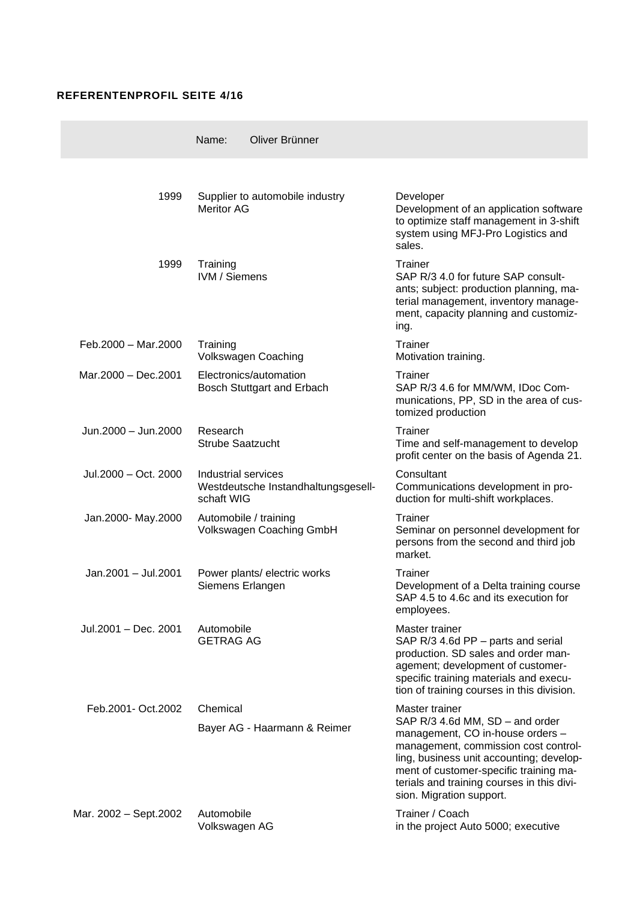## **REFERENTENPROFIL SEITE 4/16**

|                       | Name:<br>Oliver Brünner                                                  |                                                                                                                                                                                                                                                                                               |
|-----------------------|--------------------------------------------------------------------------|-----------------------------------------------------------------------------------------------------------------------------------------------------------------------------------------------------------------------------------------------------------------------------------------------|
|                       |                                                                          |                                                                                                                                                                                                                                                                                               |
| 1999                  | Supplier to automobile industry<br><b>Meritor AG</b>                     | Developer<br>Development of an application software<br>to optimize staff management in 3-shift<br>system using MFJ-Pro Logistics and<br>sales.                                                                                                                                                |
| 1999                  | Training<br><b>IVM / Siemens</b>                                         | Trainer<br>SAP R/3 4.0 for future SAP consult-<br>ants; subject: production planning, ma-<br>terial management, inventory manage-<br>ment, capacity planning and customiz-<br>ing.                                                                                                            |
| Feb.2000 - Mar.2000   | Training<br>Volkswagen Coaching                                          | Trainer<br>Motivation training.                                                                                                                                                                                                                                                               |
| Mar.2000 - Dec.2001   | Electronics/automation<br>Bosch Stuttgart and Erbach                     | Trainer<br>SAP R/3 4.6 for MM/WM, IDoc Com-<br>munications, PP, SD in the area of cus-<br>tomized production                                                                                                                                                                                  |
| Jun.2000 - Jun.2000   | Research<br><b>Strube Saatzucht</b>                                      | Trainer<br>Time and self-management to develop<br>profit center on the basis of Agenda 21.                                                                                                                                                                                                    |
| Jul.2000 - Oct. 2000  | Industrial services<br>Westdeutsche Instandhaltungsgesell-<br>schaft WIG | Consultant<br>Communications development in pro-<br>duction for multi-shift workplaces.                                                                                                                                                                                                       |
| Jan.2000- May.2000    | Automobile / training<br>Volkswagen Coaching GmbH                        | Trainer<br>Seminar on personnel development for<br>persons from the second and third job<br>market.                                                                                                                                                                                           |
| Jan.2001 - Jul.2001   | Power plants/ electric works<br>Siemens Erlangen                         | <b>Trainer</b><br>Development of a Delta training course<br>SAP 4.5 to 4.6c and its execution for<br>employees.                                                                                                                                                                               |
| Jul.2001 - Dec. 2001  | Automobile<br><b>GETRAG AG</b>                                           | Master trainer<br>SAP R/3 4.6d PP - parts and serial<br>production. SD sales and order man-<br>agement; development of customer-<br>specific training materials and execu-<br>tion of training courses in this division.                                                                      |
| Feb.2001- Oct.2002    | Chemical<br>Bayer AG - Haarmann & Reimer                                 | Master trainer<br>SAP R/3 4.6d MM, SD - and order<br>management, CO in-house orders -<br>management, commission cost control-<br>ling, business unit accounting; develop-<br>ment of customer-specific training ma-<br>terials and training courses in this divi-<br>sion. Migration support. |
| Mar. 2002 - Sept.2002 | Automobile<br>Volkswagen AG                                              | Trainer / Coach<br>in the project Auto 5000; executive                                                                                                                                                                                                                                        |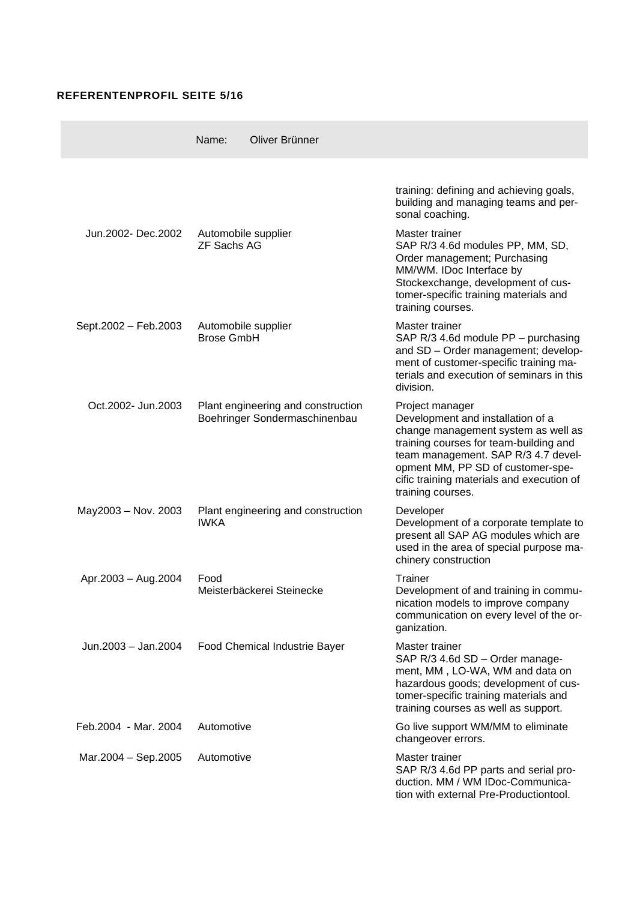## **REFERENTENPROFIL SEITE 5/16**

|                      | Name:                                     | Oliver Brünner                                                      |                                                                                                                                                                                                                                                                                     |
|----------------------|-------------------------------------------|---------------------------------------------------------------------|-------------------------------------------------------------------------------------------------------------------------------------------------------------------------------------------------------------------------------------------------------------------------------------|
|                      |                                           |                                                                     | training: defining and achieving goals,<br>building and managing teams and per-<br>sonal coaching.                                                                                                                                                                                  |
| Jun.2002- Dec.2002   | Automobile supplier<br><b>ZF Sachs AG</b> |                                                                     | Master trainer<br>SAP R/3 4.6d modules PP, MM, SD,<br>Order management; Purchasing<br>MM/WM. IDoc Interface by<br>Stockexchange, development of cus-<br>tomer-specific training materials and<br>training courses.                                                                  |
| Sept.2002 - Feb.2003 | Automobile supplier<br><b>Brose GmbH</b>  |                                                                     | Master trainer<br>SAP R/3 4.6d module PP - purchasing<br>and SD - Order management; develop-<br>ment of customer-specific training ma-<br>terials and execution of seminars in this<br>division.                                                                                    |
| Oct.2002- Jun.2003   |                                           | Plant engineering and construction<br>Boehringer Sondermaschinenbau | Project manager<br>Development and installation of a<br>change management system as well as<br>training courses for team-building and<br>team management. SAP R/3 4.7 devel-<br>opment MM, PP SD of customer-spe-<br>cific training materials and execution of<br>training courses. |
| May2003 - Nov. 2003  | <b>IWKA</b>                               | Plant engineering and construction                                  | Developer<br>Development of a corporate template to<br>present all SAP AG modules which are<br>used in the area of special purpose ma-<br>chinery construction                                                                                                                      |
| Apr.2003 - Aug.2004  | Food                                      | Meisterbäckerei Steinecke                                           | <b>Trainer</b><br>Development of and training in commu-<br>nication models to improve company<br>communication on every level of the or-<br>ganization.                                                                                                                             |
| Jun.2003 - Jan.2004  |                                           | Food Chemical Industrie Bayer                                       | Master trainer<br>SAP R/3 4.6d SD - Order manage-<br>ment, MM, LO-WA, WM and data on<br>hazardous goods; development of cus-<br>tomer-specific training materials and<br>training courses as well as support.                                                                       |
| Feb.2004 - Mar. 2004 | Automotive                                |                                                                     | Go live support WM/MM to eliminate<br>changeover errors.                                                                                                                                                                                                                            |
| Mar.2004 - Sep.2005  | Automotive                                |                                                                     | Master trainer<br>SAP R/3 4.6d PP parts and serial pro-<br>duction. MM / WM IDoc-Communica-<br>tion with external Pre-Productiontool.                                                                                                                                               |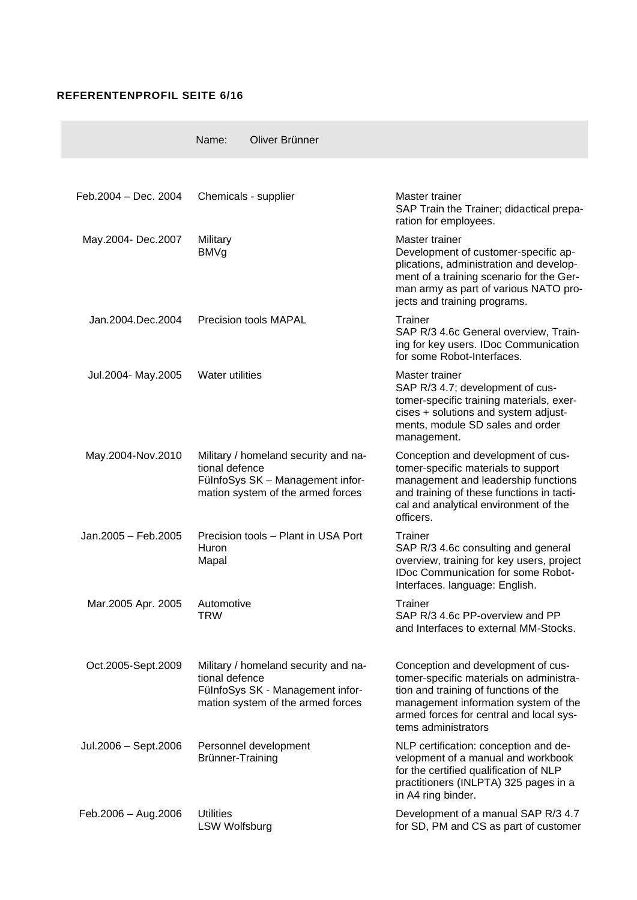## **REFERENTENPROFIL SEITE 6/16**

|                      | Oliver Brünner<br>Name:                                                                                                         |                                                                                                                                                                                                                                  |
|----------------------|---------------------------------------------------------------------------------------------------------------------------------|----------------------------------------------------------------------------------------------------------------------------------------------------------------------------------------------------------------------------------|
|                      |                                                                                                                                 |                                                                                                                                                                                                                                  |
| Feb.2004 - Dec. 2004 | Chemicals - supplier                                                                                                            | Master trainer<br>SAP Train the Trainer; didactical prepa-<br>ration for employees.                                                                                                                                              |
| May.2004- Dec.2007   | Military<br><b>BMVg</b>                                                                                                         | Master trainer<br>Development of customer-specific ap-<br>plications, administration and develop-<br>ment of a training scenario for the Ger-<br>man army as part of various NATO pro-<br>jects and training programs.           |
| Jan.2004.Dec.2004    | <b>Precision tools MAPAL</b>                                                                                                    | Trainer<br>SAP R/3 4.6c General overview, Train-<br>ing for key users. IDoc Communication<br>for some Robot-Interfaces.                                                                                                          |
| Jul.2004- May.2005   | <b>Water utilities</b>                                                                                                          | Master trainer<br>SAP R/3 4.7; development of cus-<br>tomer-specific training materials, exer-<br>cises + solutions and system adjust-<br>ments, module SD sales and order<br>management.                                        |
| May.2004-Nov.2010    | Military / homeland security and na-<br>tional defence<br>FülnfoSys SK - Management infor-<br>mation system of the armed forces | Conception and development of cus-<br>tomer-specific materials to support<br>management and leadership functions<br>and training of these functions in tacti-<br>cal and analytical environment of the<br>officers.              |
| Jan.2005 - Feb.2005  | Precision tools - Plant in USA Port<br>Huron<br>Mapal                                                                           | <b>Trainer</b><br>SAP R/3 4.6c consulting and general<br>overview, training for key users, project<br><b>IDoc Communication for some Robot-</b><br>Interfaces. language: English.                                                |
| Mar.2005 Apr. 2005   | Automotive<br><b>TRW</b>                                                                                                        | Trainer<br>SAP R/3 4.6c PP-overview and PP<br>and Interfaces to external MM-Stocks.                                                                                                                                              |
| Oct.2005-Sept.2009   | Military / homeland security and na-<br>tional defence<br>FülnfoSys SK - Management infor-<br>mation system of the armed forces | Conception and development of cus-<br>tomer-specific materials on administra-<br>tion and training of functions of the<br>management information system of the<br>armed forces for central and local sys-<br>tems administrators |
| Jul.2006 - Sept.2006 | Personnel development<br>Brünner-Training                                                                                       | NLP certification: conception and de-<br>velopment of a manual and workbook<br>for the certified qualification of NLP<br>practitioners (INLPTA) 325 pages in a<br>in A4 ring binder.                                             |
| Feb.2006 - Aug.2006  | <b>Utilities</b><br><b>LSW Wolfsburg</b>                                                                                        | Development of a manual SAP R/3 4.7<br>for SD, PM and CS as part of customer                                                                                                                                                     |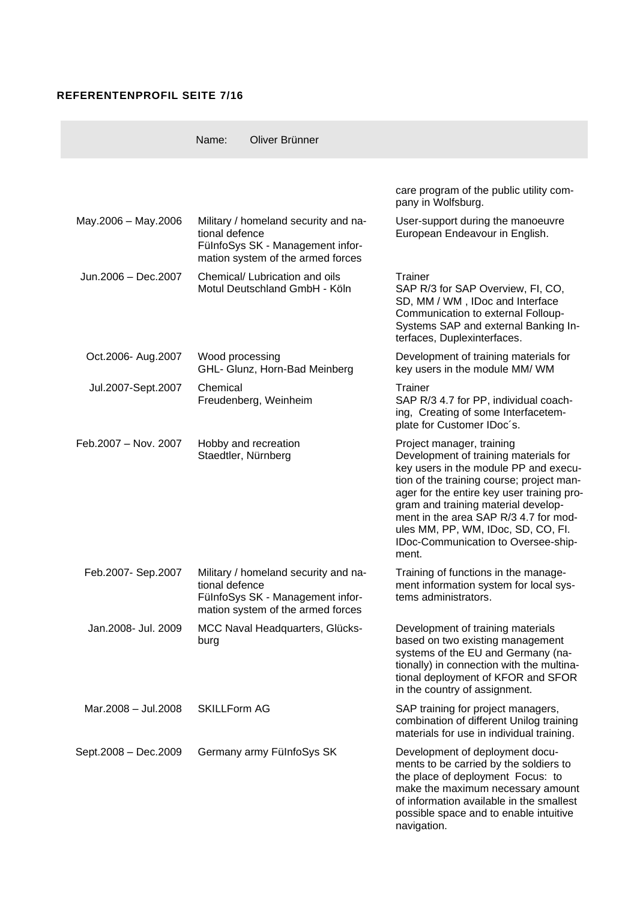### **REFERENTENPROFIL SEITE 7/16**

|                      | Name:               | Oliver Brünner                                                                                                |                                                                                                                                                                                                                                                                                                                                                                              |
|----------------------|---------------------|---------------------------------------------------------------------------------------------------------------|------------------------------------------------------------------------------------------------------------------------------------------------------------------------------------------------------------------------------------------------------------------------------------------------------------------------------------------------------------------------------|
|                      |                     |                                                                                                               | care program of the public utility com-<br>pany in Wolfsburg.                                                                                                                                                                                                                                                                                                                |
| May.2006 - May.2006  | tional defence      | Military / homeland security and na-<br>FülnfoSys SK - Management infor-<br>mation system of the armed forces | User-support during the manoeuvre<br>European Endeavour in English.                                                                                                                                                                                                                                                                                                          |
| Jun.2006 - Dec.2007  |                     | Chemical/ Lubrication and oils<br>Motul Deutschland GmbH - Köln                                               | Trainer<br>SAP R/3 for SAP Overview, FI, CO,<br>SD, MM / WM, IDoc and Interface<br>Communication to external Folloup-<br>Systems SAP and external Banking In-<br>terfaces, Duplexinterfaces.                                                                                                                                                                                 |
| Oct.2006- Aug.2007   | Wood processing     | GHL- Glunz, Horn-Bad Meinberg                                                                                 | Development of training materials for<br>key users in the module MM/ WM                                                                                                                                                                                                                                                                                                      |
| Jul.2007-Sept.2007   | Chemical            | Freudenberg, Weinheim                                                                                         | Trainer<br>SAP R/3 4.7 for PP, individual coach-<br>ing, Creating of some Interfacetem-<br>plate for Customer IDoc's.                                                                                                                                                                                                                                                        |
| Feb.2007 - Nov. 2007 |                     | Hobby and recreation<br>Staedtler, Nürnberg                                                                   | Project manager, training<br>Development of training materials for<br>key users in the module PP and execu-<br>tion of the training course; project man-<br>ager for the entire key user training pro-<br>gram and training material develop-<br>ment in the area SAP R/3 4.7 for mod-<br>ules MM, PP, WM, IDoc, SD, CO, FI.<br>IDoc-Communication to Oversee-ship-<br>ment. |
| Feb.2007- Sep.2007   | tional defence      | Military / homeland security and na-<br>FülnfoSys SK - Management infor-<br>mation system of the armed forces | Training of functions in the manage-<br>ment information system for local sys-<br>tems administrators.                                                                                                                                                                                                                                                                       |
| Jan.2008- Jul. 2009  | burg                | MCC Naval Headquarters, Glücks-                                                                               | Development of training materials<br>based on two existing management<br>systems of the EU and Germany (na-<br>tionally) in connection with the multina-<br>tional deployment of KFOR and SFOR<br>in the country of assignment.                                                                                                                                              |
| Mar.2008 - Jul.2008  | <b>SKILLForm AG</b> |                                                                                                               | SAP training for project managers,<br>combination of different Unilog training<br>materials for use in individual training.                                                                                                                                                                                                                                                  |
| Sept.2008 - Dec.2009 |                     | Germany army FülnfoSys SK                                                                                     | Development of deployment docu-<br>ments to be carried by the soldiers to<br>the place of deployment Focus: to<br>make the maximum necessary amount<br>of information available in the smallest<br>possible space and to enable intuitive<br>navigation.                                                                                                                     |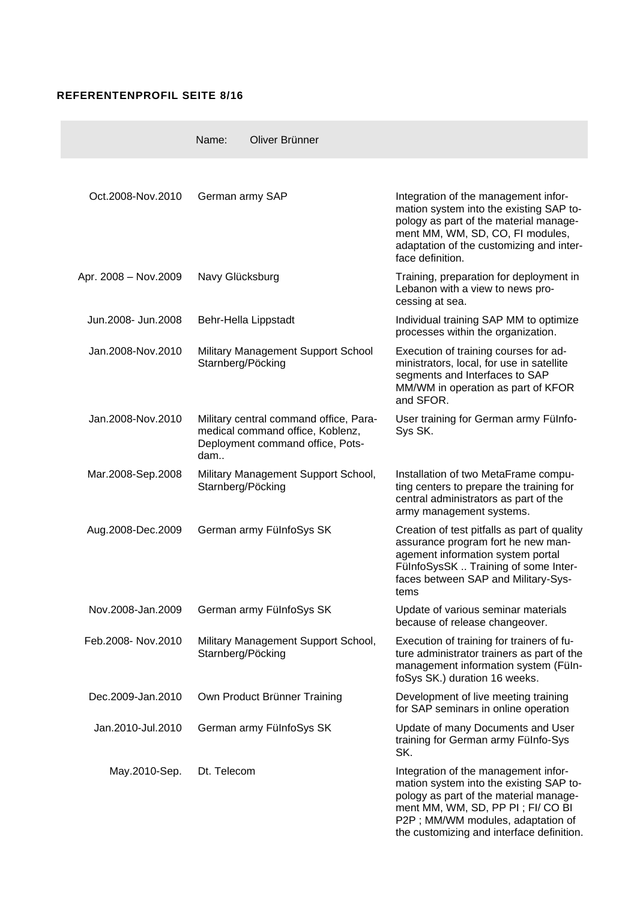#### **REFERENTENPROFIL SEITE 8/16**

|                      | Oliver Brünner<br>Name:                                                                                               |                                                                                                                                                                                                                                                  |
|----------------------|-----------------------------------------------------------------------------------------------------------------------|--------------------------------------------------------------------------------------------------------------------------------------------------------------------------------------------------------------------------------------------------|
|                      |                                                                                                                       |                                                                                                                                                                                                                                                  |
| Oct.2008-Nov.2010    | German army SAP                                                                                                       | Integration of the management infor-<br>mation system into the existing SAP to-<br>pology as part of the material manage-<br>ment MM, WM, SD, CO, FI modules,<br>adaptation of the customizing and inter-<br>face definition.                    |
| Apr. 2008 - Nov.2009 | Navy Glücksburg                                                                                                       | Training, preparation for deployment in<br>Lebanon with a view to news pro-<br>cessing at sea.                                                                                                                                                   |
| Jun.2008- Jun.2008   | Behr-Hella Lippstadt                                                                                                  | Individual training SAP MM to optimize<br>processes within the organization.                                                                                                                                                                     |
| Jan.2008-Nov.2010    | Military Management Support School<br>Starnberg/Pöcking                                                               | Execution of training courses for ad-<br>ministrators, local, for use in satellite<br>segments and Interfaces to SAP<br>MM/WM in operation as part of KFOR<br>and SFOR.                                                                          |
| Jan.2008-Nov.2010    | Military central command office, Para-<br>medical command office, Koblenz,<br>Deployment command office, Pots-<br>dam | User training for German army Fülnfo-<br>Sys SK.                                                                                                                                                                                                 |
| Mar.2008-Sep.2008    | Military Management Support School,<br>Starnberg/Pöcking                                                              | Installation of two MetaFrame compu-<br>ting centers to prepare the training for<br>central administrators as part of the<br>army management systems.                                                                                            |
| Aug.2008-Dec.2009    | German army FülnfoSys SK                                                                                              | Creation of test pitfalls as part of quality<br>assurance program fort he new man-<br>agement information system portal<br>FülnfoSysSK  Training of some Inter-<br>faces between SAP and Military-Sys-<br>tems                                   |
| Nov.2008-Jan.2009    | German army FülnfoSys SK                                                                                              | Update of various seminar materials<br>because of release changeover.                                                                                                                                                                            |
| Feb.2008- Nov.2010   | Military Management Support School,<br>Starnberg/Pöcking                                                              | Execution of training for trainers of fu-<br>ture administrator trainers as part of the<br>management information system (Füln-<br>foSys SK.) duration 16 weeks.                                                                                 |
| Dec.2009-Jan.2010    | Own Product Brünner Training                                                                                          | Development of live meeting training<br>for SAP seminars in online operation                                                                                                                                                                     |
| Jan.2010-Jul.2010    | German army FülnfoSys SK                                                                                              | Update of many Documents and User<br>training for German army Fülnfo-Sys<br>SK.                                                                                                                                                                  |
| May.2010-Sep.        | Dt. Telecom                                                                                                           | Integration of the management infor-<br>mation system into the existing SAP to-<br>pology as part of the material manage-<br>ment MM, WM, SD, PP PI; FI/ CO BI<br>P2P; MM/WM modules, adaptation of<br>the customizing and interface definition. |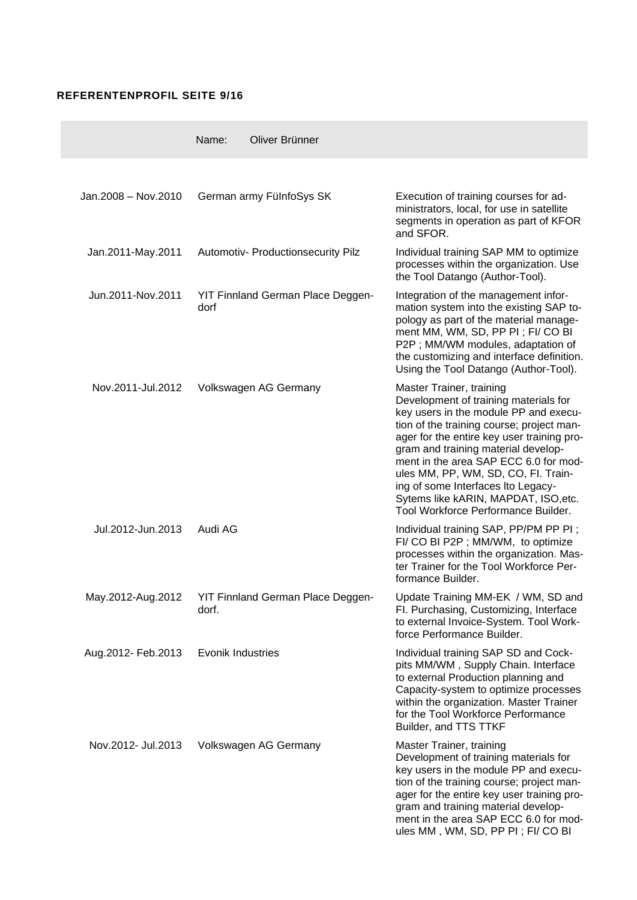### **REFERENTENPROFIL SEITE 9/16**

 $\sim$ 

|                     | Name:             | Oliver Brünner                           |                                                                                                                                                                                                                                                                                                                                                                                                                                                   |
|---------------------|-------------------|------------------------------------------|---------------------------------------------------------------------------------------------------------------------------------------------------------------------------------------------------------------------------------------------------------------------------------------------------------------------------------------------------------------------------------------------------------------------------------------------------|
|                     |                   |                                          |                                                                                                                                                                                                                                                                                                                                                                                                                                                   |
| Jan.2008 - Nov.2010 |                   | German army FülnfoSys SK                 | Execution of training courses for ad-<br>ministrators, local, for use in satellite<br>segments in operation as part of KFOR<br>and SFOR.                                                                                                                                                                                                                                                                                                          |
| Jan.2011-May.2011   |                   | Automotiv- Productionsecurity Pilz       | Individual training SAP MM to optimize<br>processes within the organization. Use<br>the Tool Datango (Author-Tool).                                                                                                                                                                                                                                                                                                                               |
| Jun.2011-Nov.2011   | dorf              | YIT Finnland German Place Deggen-        | Integration of the management infor-<br>mation system into the existing SAP to-<br>pology as part of the material manage-<br>ment MM, WM, SD, PP PI; FI/ CO BI<br>P2P; MM/WM modules, adaptation of<br>the customizing and interface definition.<br>Using the Tool Datango (Author-Tool).                                                                                                                                                         |
| Nov.2011-Jul.2012   |                   | Volkswagen AG Germany                    | Master Trainer, training<br>Development of training materials for<br>key users in the module PP and execu-<br>tion of the training course; project man-<br>ager for the entire key user training pro-<br>gram and training material develop-<br>ment in the area SAP ECC 6.0 for mod-<br>ules MM, PP, WM, SD, CO, Fl. Train-<br>ing of some Interfaces Ito Legacy-<br>Sytems like kARIN, MAPDAT, ISO, etc.<br>Tool Workforce Performance Builder. |
| Jul.2012-Jun.2013   | Audi AG           |                                          | Individual training SAP, PP/PM PP PI;<br>FI/ CO BI P2P ; MM/WM, to optimize<br>processes within the organization. Mas-<br>ter Trainer for the Tool Workforce Per-<br>formance Builder.                                                                                                                                                                                                                                                            |
| May.2012-Aug.2012   | dorf.             | <b>YIT Finnland German Place Deggen-</b> | Update Training MM-EK / WM, SD and<br>Fl. Purchasing, Customizing, Interface<br>to external Invoice-System. Tool Work-<br>force Performance Builder.                                                                                                                                                                                                                                                                                              |
| Aug.2012- Feb.2013  | Evonik Industries |                                          | Individual training SAP SD and Cock-<br>pits MM/WM, Supply Chain. Interface<br>to external Production planning and<br>Capacity-system to optimize processes<br>within the organization. Master Trainer<br>for the Tool Workforce Performance<br>Builder, and TTS TTKF                                                                                                                                                                             |
| Nov.2012- Jul.2013  |                   | Volkswagen AG Germany                    | Master Trainer, training<br>Development of training materials for<br>key users in the module PP and execu-<br>tion of the training course; project man-<br>ager for the entire key user training pro-<br>gram and training material develop-<br>ment in the area SAP ECC 6.0 for mod-<br>ules MM, WM, SD, PP PI; FI/ CO BI                                                                                                                        |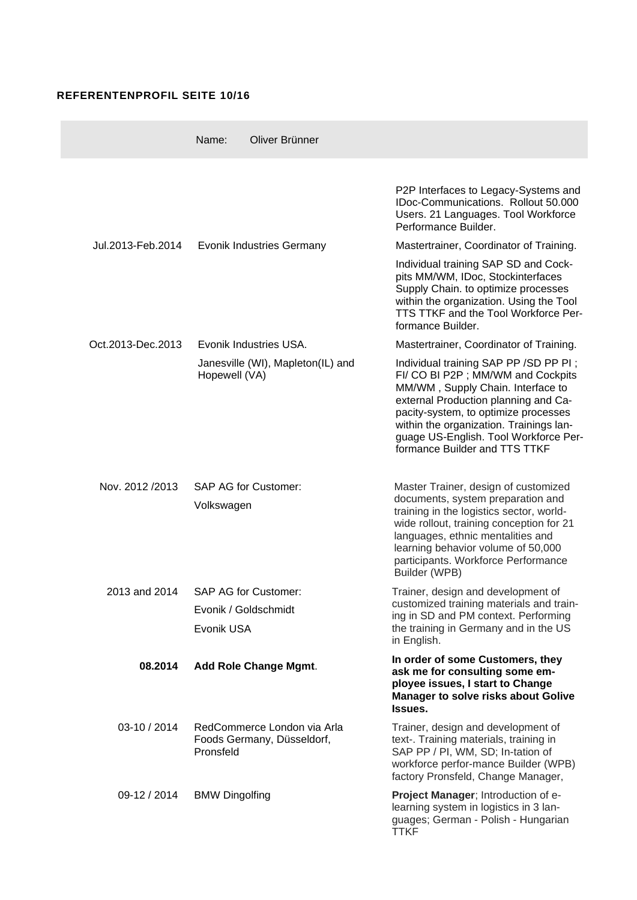## **REFERENTENPROFIL SEITE 10/16**

 $\sim$ 

|                   | Name:                              | Oliver Brünner                                            |                                                                                                                                                                                                                                                                                                                       |
|-------------------|------------------------------------|-----------------------------------------------------------|-----------------------------------------------------------------------------------------------------------------------------------------------------------------------------------------------------------------------------------------------------------------------------------------------------------------------|
|                   |                                    |                                                           | P2P Interfaces to Legacy-Systems and<br>IDoc-Communications. Rollout 50.000<br>Users. 21 Languages. Tool Workforce<br>Performance Builder.                                                                                                                                                                            |
| Jul.2013-Feb.2014 |                                    | <b>Evonik Industries Germany</b>                          | Mastertrainer, Coordinator of Training.                                                                                                                                                                                                                                                                               |
|                   |                                    |                                                           | Individual training SAP SD and Cock-<br>pits MM/WM, IDoc, Stockinterfaces<br>Supply Chain. to optimize processes<br>within the organization. Using the Tool<br>TTS TTKF and the Tool Workforce Per-<br>formance Builder.                                                                                              |
| Oct.2013-Dec.2013 |                                    | Evonik Industries USA.                                    | Mastertrainer, Coordinator of Training.                                                                                                                                                                                                                                                                               |
|                   | Hopewell (VA)                      | Janesville (WI), Mapleton(IL) and                         | Individual training SAP PP /SD PP PI;<br>FI/ CO BI P2P ; MM/WM and Cockpits<br>MM/WM, Supply Chain. Interface to<br>external Production planning and Ca-<br>pacity-system, to optimize processes<br>within the organization. Trainings lan-<br>guage US-English. Tool Workforce Per-<br>formance Builder and TTS TTKF |
| Nov. 2012/2013    | Volkswagen                         | <b>SAP AG for Customer:</b>                               | Master Trainer, design of customized<br>documents, system preparation and<br>training in the logistics sector, world-<br>wide rollout, training conception for 21<br>languages, ethnic mentalities and<br>learning behavior volume of 50,000<br>participants. Workforce Performance<br>Builder (WPB)                  |
| 2013 and 2014     |                                    | <b>SAP AG for Customer:</b>                               | Trainer, design and development of                                                                                                                                                                                                                                                                                    |
|                   | Evonik / Goldschmidt<br>Evonik USA |                                                           | customized training materials and train-<br>ing in SD and PM context. Performing<br>the training in Germany and in the US<br>in English.                                                                                                                                                                              |
| 08.2014           |                                    | Add Role Change Mgmt.                                     | In order of some Customers, they<br>ask me for consulting some em-<br>ployee issues, I start to Change<br><b>Manager to solve risks about Golive</b><br>Issues.                                                                                                                                                       |
| 03-10 / 2014      | Pronsfeld                          | RedCommerce London via Arla<br>Foods Germany, Düsseldorf, | Trainer, design and development of<br>text-. Training materials, training in<br>SAP PP / PI, WM, SD; In-tation of<br>workforce perfor-mance Builder (WPB)<br>factory Pronsfeld, Change Manager,                                                                                                                       |
| 09-12 / 2014      | <b>BMW Dingolfing</b>              |                                                           | Project Manager; Introduction of e-<br>learning system in logistics in 3 lan-<br>guages; German - Polish - Hungarian<br><b>TTKF</b>                                                                                                                                                                                   |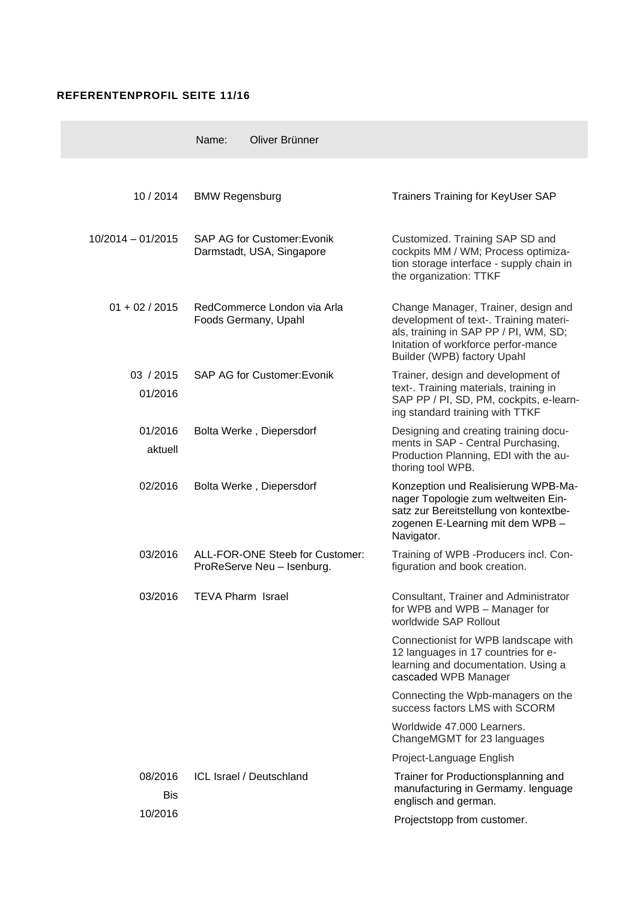### **REFERENTENPROFIL SEITE 11/16**

|                       | Name:<br>Oliver Brünner                                         |                                                                                                                                                                                              |
|-----------------------|-----------------------------------------------------------------|----------------------------------------------------------------------------------------------------------------------------------------------------------------------------------------------|
|                       |                                                                 |                                                                                                                                                                                              |
| 10/2014               | <b>BMW Regensburg</b>                                           | <b>Trainers Training for KeyUser SAP</b>                                                                                                                                                     |
| $10/2014 - 01/2015$   | <b>SAP AG for Customer: Evonik</b><br>Darmstadt, USA, Singapore | Customized. Training SAP SD and<br>cockpits MM / WM; Process optimiza-<br>tion storage interface - supply chain in<br>the organization: TTKF                                                 |
| $01 + 02 / 2015$      | RedCommerce London via Arla<br>Foods Germany, Upahl             | Change Manager, Trainer, design and<br>development of text-. Training materi-<br>als, training in SAP PP / PI, WM, SD;<br>Initation of workforce perfor-mance<br>Builder (WPB) factory Upahl |
| 03 / 2015<br>01/2016  | <b>SAP AG for Customer: Evonik</b>                              | Trainer, design and development of<br>text-. Training materials, training in<br>SAP PP / PI, SD, PM, cockpits, e-learn-<br>ing standard training with TTKF                                   |
| 01/2016<br>aktuell    | Bolta Werke, Diepersdorf                                        | Designing and creating training docu-<br>ments in SAP - Central Purchasing,<br>Production Planning, EDI with the au-<br>thoring tool WPB.                                                    |
| 02/2016               | Bolta Werke, Diepersdorf                                        | Konzeption und Realisierung WPB-Ma-<br>nager Topologie zum weltweiten Ein-<br>satz zur Bereitstellung von kontextbe-<br>zogenen E-Learning mit dem WPB -<br>Navigator.                       |
| 03/2016               | ALL-FOR-ONE Steeb for Customer:<br>ProReServe Neu - Isenburg.   | Training of WPB - Producers incl. Con-<br>figuration and book creation.                                                                                                                      |
| 03/2016               | <b>TEVA Pharm Israel</b>                                        | Consultant, Trainer and Administrator<br>for WPB and WPB - Manager for<br>worldwide SAP Rollout                                                                                              |
|                       |                                                                 | Connectionist for WPB landscape with<br>12 languages in 17 countries for e-<br>learning and documentation. Using a<br>cascaded WPB Manager                                                   |
|                       |                                                                 | Connecting the Wpb-managers on the<br>success factors LMS with SCORM                                                                                                                         |
|                       |                                                                 | Worldwide 47.000 Learners.<br>ChangeMGMT for 23 languages                                                                                                                                    |
|                       |                                                                 | Project-Language English                                                                                                                                                                     |
| 08/2016<br><b>Bis</b> | ICL Israel / Deutschland                                        | Trainer for Productionsplanning and<br>manufacturing in Germamy. lenguage<br>englisch and german.                                                                                            |
| 10/2016               |                                                                 | Projectstopp from customer.                                                                                                                                                                  |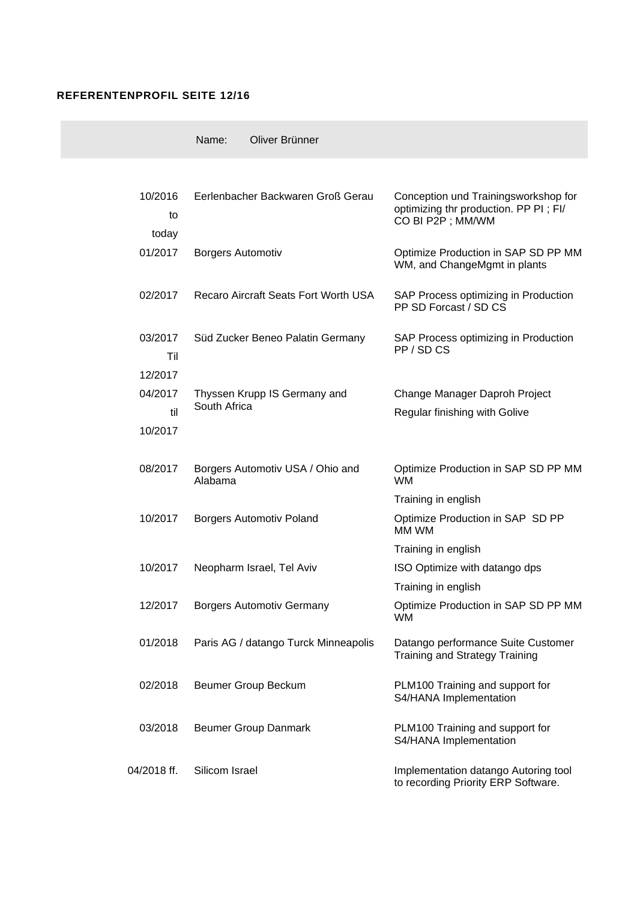#### **REFERENTENPROFIL SEITE 12/16**

|                           | Oliver Brünner<br>Name:                      |                                                                                                   |
|---------------------------|----------------------------------------------|---------------------------------------------------------------------------------------------------|
|                           |                                              |                                                                                                   |
| 10/2016<br>to<br>today    | Eerlenbacher Backwaren Groß Gerau            | Conception und Trainingsworkshop for<br>optimizing thr production. PP PI; FI/<br>CO BI P2P; MM/WM |
| 01/2017                   | <b>Borgers Automotiv</b>                     | Optimize Production in SAP SD PP MM<br>WM, and ChangeMgmt in plants                               |
| 02/2017                   | Recaro Aircraft Seats Fort Worth USA         | SAP Process optimizing in Production<br>PP SD Forcast / SD CS                                     |
| 03/2017<br>Til<br>12/2017 | Süd Zucker Beneo Palatin Germany             | SAP Process optimizing in Production<br>PP/SDCS                                                   |
| 04/2017<br>til<br>10/2017 | Thyssen Krupp IS Germany and<br>South Africa | Change Manager Daproh Project<br>Regular finishing with Golive                                    |
| 08/2017                   | Borgers Automotiv USA / Ohio and<br>Alabama  | Optimize Production in SAP SD PP MM<br><b>WM</b>                                                  |
|                           |                                              | Training in english                                                                               |
| 10/2017                   | <b>Borgers Automotiv Poland</b>              | Optimize Production in SAP SD PP<br>MM WM                                                         |
|                           |                                              | Training in english                                                                               |
| 10/2017                   | Neopharm Israel, Tel Aviv                    | ISO Optimize with datango dps                                                                     |
|                           |                                              | Training in english                                                                               |
| 12/2017                   | <b>Borgers Automotiv Germany</b>             | Optimize Production in SAP SD PP MM<br>WM.                                                        |
| 01/2018                   | Paris AG / datango Turck Minneapolis         | Datango performance Suite Customer<br><b>Training and Strategy Training</b>                       |
| 02/2018                   | Beumer Group Beckum                          | PLM100 Training and support for<br>S4/HANA Implementation                                         |
| 03/2018                   | <b>Beumer Group Danmark</b>                  | PLM100 Training and support for<br>S4/HANA Implementation                                         |
| 04/2018 ff.               | Silicom Israel                               | Implementation datango Autoring tool<br>to recording Priority ERP Software.                       |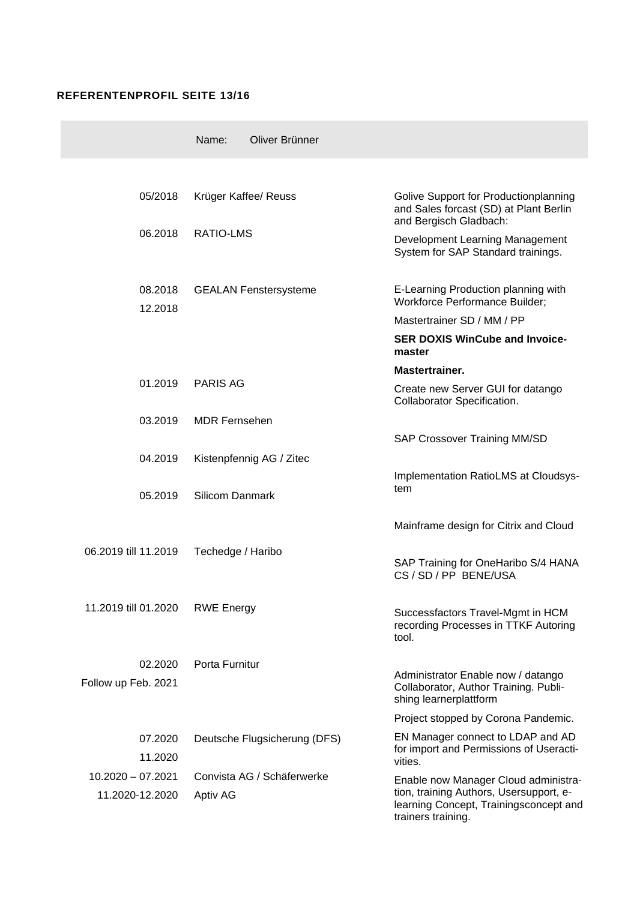## **REFERENTENPROFIL SEITE 13/16**

|                      | Oliver Brünner<br>Name:      |                                                                                                           |
|----------------------|------------------------------|-----------------------------------------------------------------------------------------------------------|
|                      |                              |                                                                                                           |
| 05/2018              | Krüger Kaffee/ Reuss         | Golive Support for Productionplanning<br>and Sales forcast (SD) at Plant Berlin<br>and Bergisch Gladbach: |
| 06.2018              | RATIO-LMS                    | Development Learning Management<br>System for SAP Standard trainings.                                     |
| 08.2018<br>12.2018   | <b>GEALAN Fenstersysteme</b> | E-Learning Production planning with<br><b>Workforce Performance Builder;</b>                              |
|                      |                              | Mastertrainer SD / MM / PP                                                                                |
|                      |                              | <b>SER DOXIS WinCube and Invoice-</b><br>master                                                           |
|                      |                              | Mastertrainer.                                                                                            |
| 01.2019              | <b>PARIS AG</b>              | Create new Server GUI for datango<br>Collaborator Specification.                                          |
| 03.2019              | <b>MDR Fernsehen</b>         |                                                                                                           |
|                      |                              | SAP Crossover Training MM/SD                                                                              |
| 04.2019              | Kistenpfennig AG / Zitec     |                                                                                                           |
| 05.2019              | <b>Silicom Danmark</b>       | Implementation RatioLMS at Cloudsys-<br>tem                                                               |
|                      |                              | Mainframe design for Citrix and Cloud                                                                     |
| 06.2019 till 11.2019 | Techedge / Haribo            | SAP Training for OneHaribo S/4 HANA<br>CS / SD / PP BENE/USA                                              |
| 11.2019 till 01.2020 | <b>RWE Energy</b>            | Successfactors Travel-Mgmt in HCM<br>recording Processes in TTKF Autoring<br>tool.                        |
| 02.2020              | Porta Furnitur               |                                                                                                           |
| Follow up Feb. 2021  |                              | Administrator Enable now / datango<br>Collaborator, Author Training. Publi-<br>shing learnerplattform     |
|                      |                              | Project stopped by Corona Pandemic.                                                                       |
| 07.2020<br>11.2020   | Deutsche Flugsicherung (DFS) | EN Manager connect to LDAP and AD<br>for import and Permissions of Useracti-<br>vities.                   |
| $10.2020 - 07.2021$  | Convista AG / Schäferwerke   | Enable now Manager Cloud administra-                                                                      |
| 11.2020-12.2020      | Aptiv AG                     | tion, training Authors, Usersupport, e-<br>learning Concept, Trainingsconcept and<br>trainers training.   |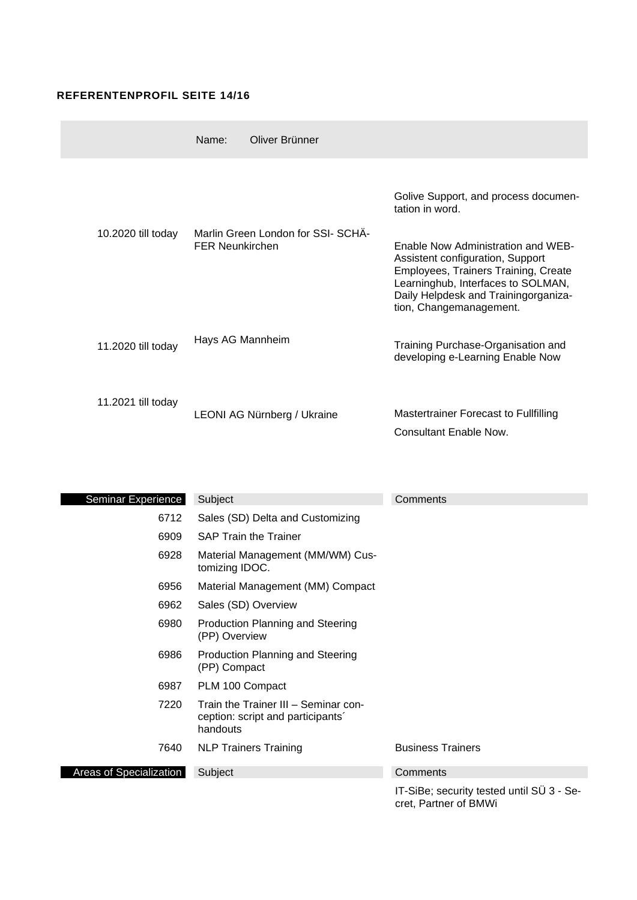## **REFERENTENPROFIL SEITE 14/16**

|                    | Oliver Brünner<br>Name:            |                                                                                                                                                                                                                         |
|--------------------|------------------------------------|-------------------------------------------------------------------------------------------------------------------------------------------------------------------------------------------------------------------------|
| 10.2020 till today | Marlin Green London for SSI- SCHA- | Golive Support, and process documen-<br>tation in word.                                                                                                                                                                 |
|                    | <b>FER Neunkirchen</b>             | Enable Now Administration and WEB-<br>Assistent configuration, Support<br>Employees, Trainers Training, Create<br>Learninghub, Interfaces to SOLMAN,<br>Daily Helpdesk and Trainingorganiza-<br>tion, Changemanagement. |
| 11.2020 till today | Hays AG Mannheim                   | Training Purchase-Organisation and<br>developing e-Learning Enable Now                                                                                                                                                  |
| 11.2021 till today | LEONI AG Nürnberg / Ukraine        | Mastertrainer Forecast to Fullfilling<br>Consultant Enable Now.                                                                                                                                                         |

| Seminar Experience             | Subject                                                                              | Comments                 |
|--------------------------------|--------------------------------------------------------------------------------------|--------------------------|
| 6712                           | Sales (SD) Delta and Customizing                                                     |                          |
| 6909                           | <b>SAP Train the Trainer</b>                                                         |                          |
| 6928                           | Material Management (MM/WM) Cus-<br>tomizing IDOC.                                   |                          |
| 6956                           | Material Management (MM) Compact                                                     |                          |
| 6962                           | Sales (SD) Overview                                                                  |                          |
| 6980                           | <b>Production Planning and Steering</b><br>(PP) Overview                             |                          |
| 6986                           | Production Planning and Steering<br>(PP) Compact                                     |                          |
| 6987                           | PLM 100 Compact                                                                      |                          |
| 7220                           | Train the Trainer III - Seminar con-<br>ception: script and participants<br>handouts |                          |
| 7640                           | <b>NLP Trainers Training</b>                                                         | <b>Business Trainers</b> |
| <b>Areas of Specialization</b> | Subject                                                                              | Comments                 |
|                                |                                                                                      |                          |

IT-SiBe; security tested until SÜ 3 - Secret, Partner of BMWi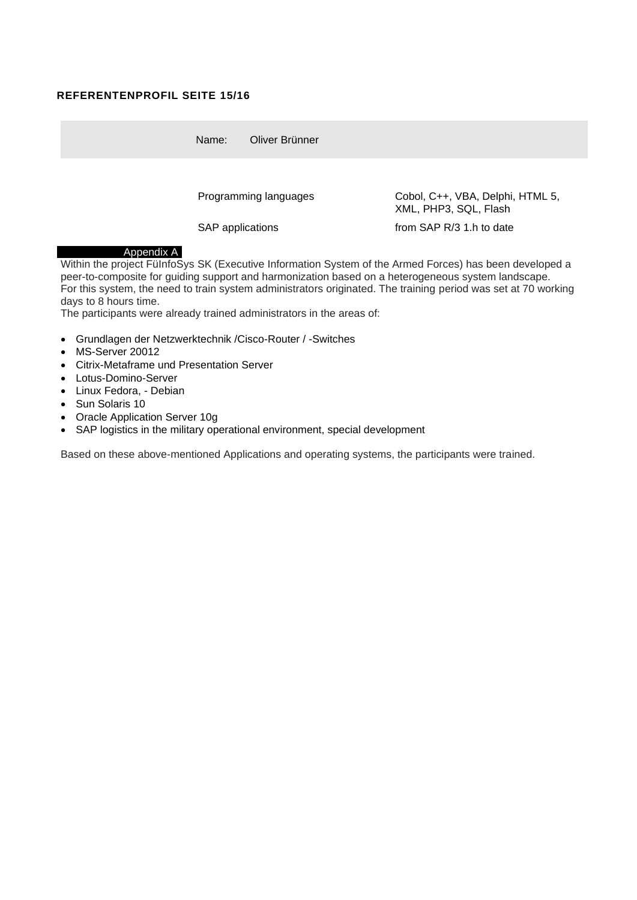#### **REFERENTENPROFIL SEITE 15/16**

Name: Oliver Brünner

Programming languages Cobol, C++, VBA, Delphi, HTML 5, XML, PHP3, SQL, Flash

SAP applications from SAP R/3 1.h to date

#### Appendix A

Within the project FüInfoSys SK (Executive Information System of the Armed Forces) has been developed a peer-to-composite for guiding support and harmonization based on a heterogeneous system landscape. For this system, the need to train system administrators originated. The training period was set at 70 working days to 8 hours time.

The participants were already trained administrators in the areas of:

- Grundlagen der Netzwerktechnik /Cisco-Router / -Switches
- MS-Server 20012
- Citrix-Metaframe und Presentation Server
- Lotus-Domino-Server
- Linux Fedora, Debian
- Sun Solaris 10
- Oracle Application Server 10g
- SAP logistics in the military operational environment, special development

Based on these above-mentioned Applications and operating systems, the participants were trained.